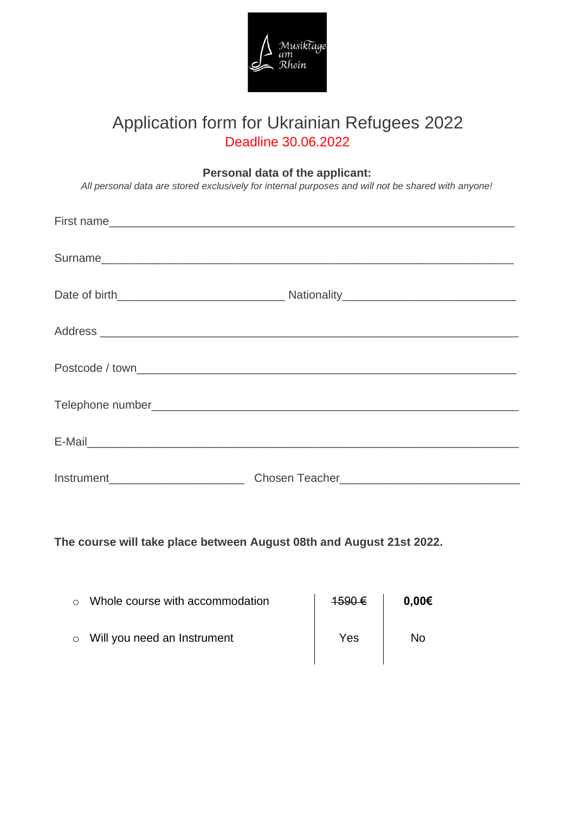

# Application form for Ukrainian Refugees 2022 Deadline 30.06.2022

## **Personal data of the applicant:**

*All personal data are stored exclusively for internal purposes and will not be shared with anyone!*

| $Instrument$ $\qquad \qquad$ |  |
|------------------------------|--|

**The course will take place between August 08th and August 21st 2022.**

| Whole course with accommodation     | 1590€ | $0.00 \epsilon$ |
|-------------------------------------|-------|-----------------|
| $\circ$ Will you need an Instrument | Yes   | N٥              |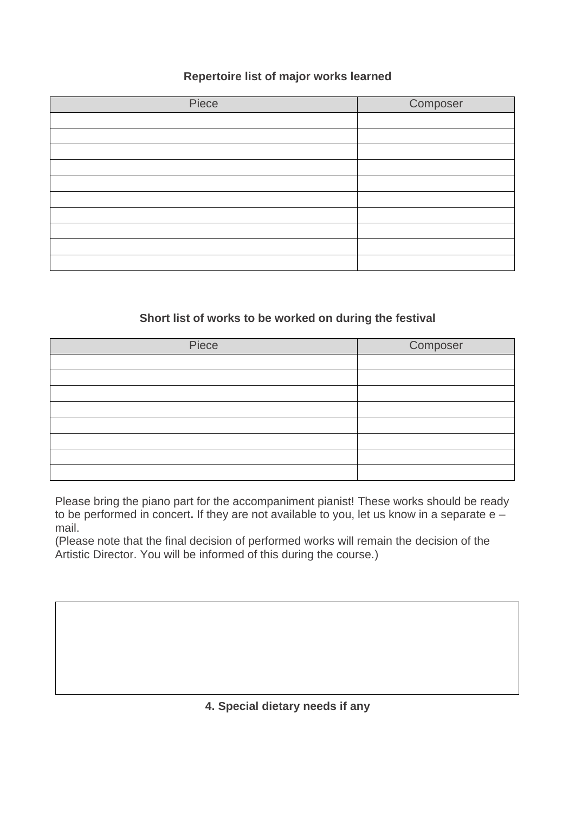## **Repertoire list of major works learned**

| Piece | Composer |
|-------|----------|
|       |          |
|       |          |
|       |          |
|       |          |
|       |          |
|       |          |
|       |          |
|       |          |
|       |          |
|       |          |

#### **Short list of works to be worked on during the festival**

| Piece | Composer |
|-------|----------|
|       |          |
|       |          |
|       |          |
|       |          |
|       |          |
|       |          |
|       |          |
|       |          |

Please bring the piano part for the accompaniment pianist! These works should be ready to be performed in concert**.** If they are not available to you, let us know in a separate e – mail.

(Please note that the final decision of performed works will remain the decision of the Artistic Director. You will be informed of this during the course.)